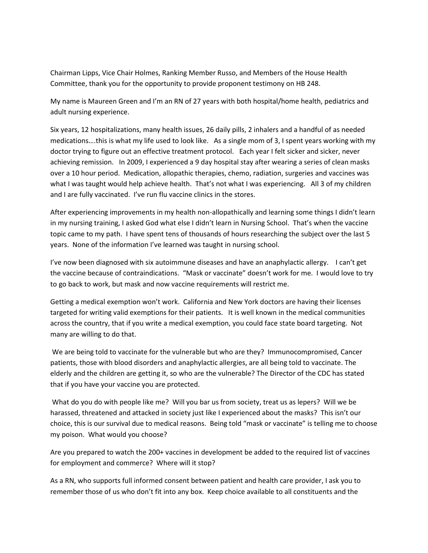Chairman Lipps, Vice Chair Holmes, Ranking Member Russo, and Members of the House Health Committee, thank you for the opportunity to provide proponent testimony on HB 248.

My name is Maureen Green and I'm an RN of 27 years with both hospital/home health, pediatrics and adult nursing experience.

Six years, 12 hospitalizations, many health issues, 26 daily pills, 2 inhalers and a handful of as needed medications….this is what my life used to look like. As a single mom of 3, I spent years working with my doctor trying to figure out an effective treatment protocol. Each year I felt sicker and sicker, never achieving remission. In 2009, I experienced a 9 day hospital stay after wearing a series of clean masks over a 10 hour period. Medication, allopathic therapies, chemo, radiation, surgeries and vaccines was what I was taught would help achieve health. That's not what I was experiencing. All 3 of my children and I are fully vaccinated. I've run flu vaccine clinics in the stores.

After experiencing improvements in my health non-allopathically and learning some things I didn't learn in my nursing training, I asked God what else I didn't learn in Nursing School. That's when the vaccine topic came to my path. I have spent tens of thousands of hours researching the subject over the last 5 years. None of the information I've learned was taught in nursing school.

I've now been diagnosed with six autoimmune diseases and have an anaphylactic allergy. I can't get the vaccine because of contraindications. "Mask or vaccinate" doesn't work for me. I would love to try to go back to work, but mask and now vaccine requirements will restrict me.

Getting a medical exemption won't work. California and New York doctors are having their licenses targeted for writing valid exemptions for their patients. It is well known in the medical communities across the country, that if you write a medical exemption, you could face state board targeting. Not many are willing to do that.

We are being told to vaccinate for the vulnerable but who are they? Immunocompromised, Cancer patients, those with blood disorders and anaphylactic allergies, are all being told to vaccinate. The elderly and the children are getting it, so who are the vulnerable? The Director of the CDC has stated that if you have your vaccine you are protected.

What do you do with people like me? Will you bar us from society, treat us as lepers? Will we be harassed, threatened and attacked in society just like I experienced about the masks? This isn't our choice, this is our survival due to medical reasons. Being told "mask or vaccinate" is telling me to choose my poison. What would you choose?

Are you prepared to watch the 200+ vaccines in development be added to the required list of vaccines for employment and commerce? Where will it stop?

As a RN, who supports full informed consent between patient and health care provider, I ask you to remember those of us who don't fit into any box. Keep choice available to all constituents and the